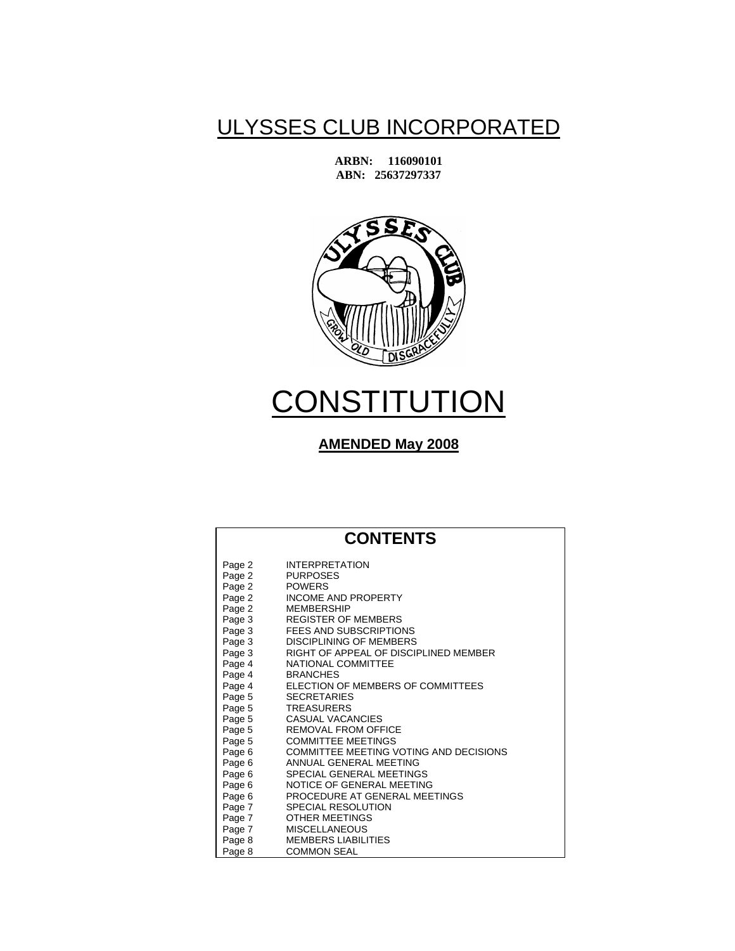## ULYSSES CLUB INCORPORATED

**ARBN: 116090101 ABN: 25637297337** 



# **CONSTITUTION**

### **AMENDED May 2008**

## **CONTENTS**

| Page 2 | <b>INTERPRETATION</b>                  |
|--------|----------------------------------------|
| Page 2 | <b>PURPOSES</b>                        |
| Page 2 | <b>POWERS</b>                          |
| Page 2 | <b>INCOME AND PROPERTY</b>             |
| Page 2 | <b>MEMBERSHIP</b>                      |
| Page 3 | <b>REGISTER OF MEMBERS</b>             |
| Page 3 | FEES AND SUBSCRIPTIONS                 |
| Page 3 | <b>DISCIPLINING OF MEMBERS</b>         |
| Page 3 | RIGHT OF APPEAL OF DISCIPLINED MEMBER  |
| Page 4 | NATIONAL COMMITTEE                     |
| Page 4 | <b>BRANCHES</b>                        |
| Page 4 | ELECTION OF MEMBERS OF COMMITTEES      |
| Page 5 | <b>SECRETARIES</b>                     |
| Page 5 | <b>TREASURERS</b>                      |
| Page 5 | CASUAL VACANCIES                       |
| Page 5 | <b>REMOVAL FROM OFFICE</b>             |
| Page 5 | <b>COMMITTEE MEETINGS</b>              |
| Page 6 | COMMITTEE MEETING VOTING AND DECISIONS |
| Page 6 | ANNUAL GENERAL MEETING                 |
| Page 6 | SPECIAL GENERAL MEETINGS               |
| Page 6 | NOTICE OF GENERAL MEETING              |
| Page 6 | PROCEDURE AT GENERAL MEETINGS          |
| Page 7 | <b>SPECIAL RESOLUTION</b>              |
| Page 7 | OTHER MEETINGS                         |
| Page 7 | <b>MISCELLANEOUS</b>                   |
| Page 8 | <b>MEMBERS LIABILITIES</b>             |
| Page 8 | <b>COMMON SEAL</b>                     |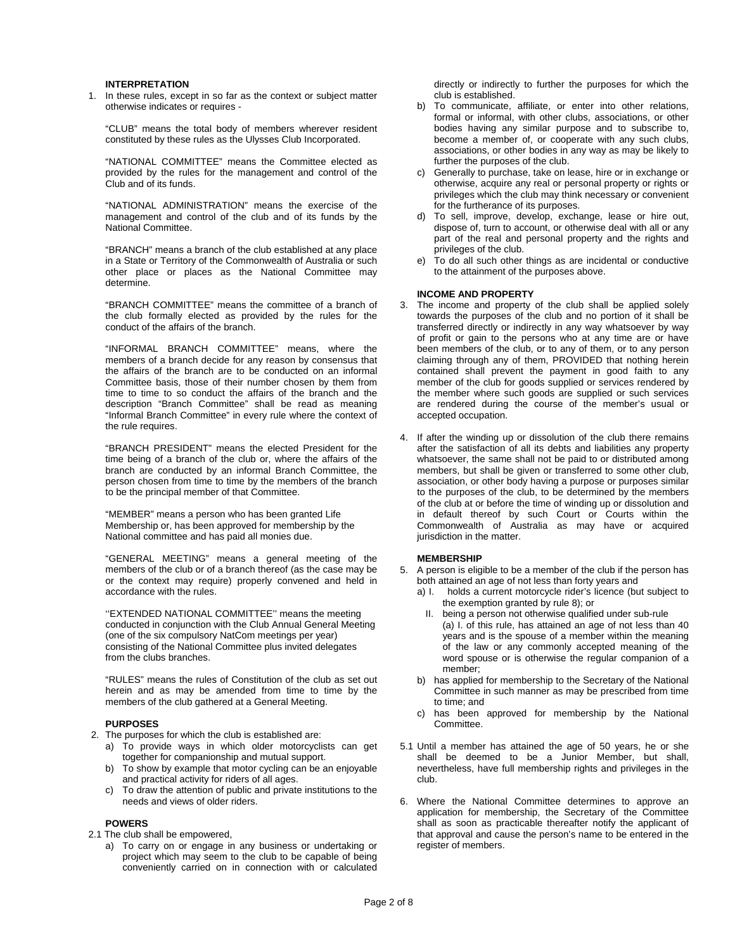#### **INTERPRETATION**

1. In these rules, except in so far as the context or subject matter otherwise indicates or requires -

 "CLUB" means the total body of members wherever resident constituted by these rules as the Ulysses Club Incorporated.

 "NATIONAL COMMITTEE" means the Committee elected as provided by the rules for the management and control of the Club and of its funds.

 "NATIONAL ADMINISTRATION" means the exercise of the management and control of the club and of its funds by the National Committee.

 "BRANCH" means a branch of the club established at any place in a State or Territory of the Commonwealth of Australia or such other place or places as the National Committee may determine.

 "BRANCH COMMITTEE" means the committee of a branch of the club formally elected as provided by the rules for the conduct of the affairs of the branch.

 "INFORMAL BRANCH COMMITTEE" means, where the members of a branch decide for any reason by consensus that the affairs of the branch are to be conducted on an informal Committee basis, those of their number chosen by them from time to time to so conduct the affairs of the branch and the description "Branch Committee" shall be read as meaning "Informal Branch Committee" in every rule where the context of the rule requires.

 "BRANCH PRESIDENT" means the elected President for the time being of a branch of the club or, where the affairs of the branch are conducted by an informal Branch Committee, the person chosen from time to time by the members of the branch to be the principal member of that Committee.

"MEMBER" means a person who has been granted Life Membership or, has been approved for membership by the National committee and has paid all monies due.

 "GENERAL MEETING" means a general meeting of the members of the club or of a branch thereof (as the case may be or the context may require) properly convened and held in accordance with the rules.

''EXTENDED NATIONAL COMMITTEE'' means the meeting conducted in conjunction with the Club Annual General Meeting (one of the six compulsory NatCom meetings per year) consisting of the National Committee plus invited delegates from the clubs branches.

 "RULES" means the rules of Constitution of the club as set out herein and as may be amended from time to time by the members of the club gathered at a General Meeting.

#### **PURPOSES**

- 2. The purposes for which the club is established are:
	- a) To provide ways in which older motorcyclists can get together for companionship and mutual support.
	- b) To show by example that motor cycling can be an enjoyable and practical activity for riders of all ages.
	- c) To draw the attention of public and private institutions to the needs and views of older riders.

#### **POWERS**

- 2.1 The club shall be empowered,
	- a) To carry on or engage in any business or undertaking or project which may seem to the club to be capable of being conveniently carried on in connection with or calculated

directly or indirectly to further the purposes for which the club is established.

- b) To communicate, affiliate, or enter into other relations, formal or informal, with other clubs, associations, or other bodies having any similar purpose and to subscribe to, become a member of, or cooperate with any such clubs, associations, or other bodies in any way as may be likely to further the purposes of the club.
- c) Generally to purchase, take on lease, hire or in exchange or otherwise, acquire any real or personal property or rights or privileges which the club may think necessary or convenient for the furtherance of its purposes.
- d) To sell, improve, develop, exchange, lease or hire out, dispose of, turn to account, or otherwise deal with all or any part of the real and personal property and the rights and privileges of the club.
- e) To do all such other things as are incidental or conductive to the attainment of the purposes above.

#### **INCOME AND PROPERTY**

- 3. The income and property of the club shall be applied solely towards the purposes of the club and no portion of it shall be transferred directly or indirectly in any way whatsoever by way of profit or gain to the persons who at any time are or have been members of the club, or to any of them, or to any person claiming through any of them, PROVIDED that nothing herein contained shall prevent the payment in good faith to any member of the club for goods supplied or services rendered by the member where such goods are supplied or such services are rendered during the course of the member's usual or accepted occupation.
- 4. If after the winding up or dissolution of the club there remains after the satisfaction of all its debts and liabilities any property whatsoever, the same shall not be paid to or distributed among members, but shall be given or transferred to some other club, association, or other body having a purpose or purposes similar to the purposes of the club, to be determined by the members of the club at or before the time of winding up or dissolution and in default thereof by such Court or Courts within the Commonwealth of Australia as may have or acquired jurisdiction in the matter.

#### **MEMBERSHIP**

- 5. A person is eligible to be a member of the club if the person has both attained an age of not less than forty years and
	- a) I. holds a current motorcycle rider's licence (but subject to the exemption granted by rule 8); or
		- II. being a person not otherwise qualified under sub-rule (a) I. of this rule, has attained an age of not less than 40 years and is the spouse of a member within the meaning of the law or any commonly accepted meaning of the word spouse or is otherwise the regular companion of a member;
	- b) has applied for membership to the Secretary of the National Committee in such manner as may be prescribed from time to time; and
	- c) has been approved for membership by the National Committee.
- 5.1 Until a member has attained the age of 50 years, he or she shall be deemed to be a Junior Member, but shall, nevertheless, have full membership rights and privileges in the club.
- 6. Where the National Committee determines to approve an application for membership, the Secretary of the Committee shall as soon as practicable thereafter notify the applicant of that approval and cause the person's name to be entered in the register of members.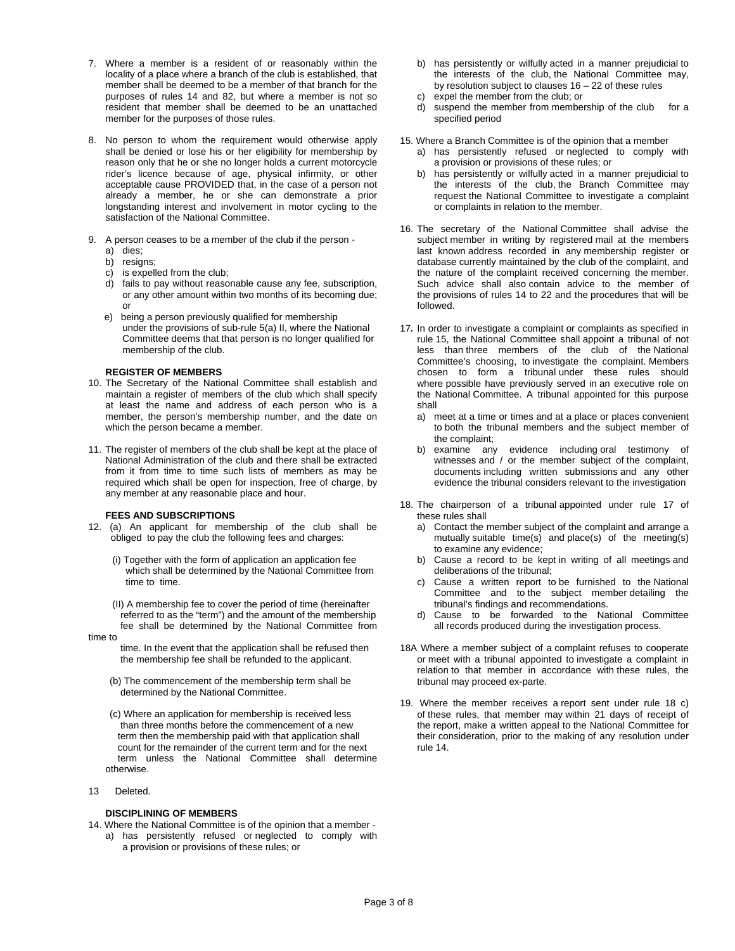- 7. Where a member is a resident of or reasonably within the locality of a place where a branch of the club is established, that member shall be deemed to be a member of that branch for the purposes of rules 14 and 82, but where a member is not so resident that member shall be deemed to be an unattached member for the purposes of those rules.
- 8. No person to whom the requirement would otherwise apply shall be denied or lose his or her eligibility for membership by reason only that he or she no longer holds a current motorcycle rider's licence because of age, physical infirmity, or other acceptable cause PROVIDED that, in the case of a person not already a member, he or she can demonstrate a prior longstanding interest and involvement in motor cycling to the satisfaction of the National Committee.
- 9. A person ceases to be a member of the club if the person a) dies;
	- b) resigns;
	- c) is expelled from the club;
	- d) fails to pay without reasonable cause any fee, subscription, or any other amount within two months of its becoming due; or
	- e) being a person previously qualified for membership under the provisions of sub-rule 5(a) II, where the National Committee deems that that person is no longer qualified for membership of the club.

#### **REGISTER OF MEMBERS**

- 10. The Secretary of the National Committee shall establish and maintain a register of members of the club which shall specify at least the name and address of each person who is a member, the person's membership number, and the date on which the person became a member.
- 11. The register of members of the club shall be kept at the place of National Administration of the club and there shall be extracted from it from time to time such lists of members as may be required which shall be open for inspection, free of charge, by any member at any reasonable place and hour.

#### **FEES AND SUBSCRIPTIONS**

- 12. (a) An applicant for membership of the club shall be obliged to pay the club the following fees and charges:
	- (i) Together with the form of application an application fee which shall be determined by the National Committee from time to time.
	- (II) A membership fee to cover the period of time (hereinafter referred to as the "term") and the amount of the membership fee shall be determined by the National Committee from

time to

- time. In the event that the application shall be refused then the membership fee shall be refunded to the applicant.
- (b) The commencement of the membership term shall be determined by the National Committee.
- (c) Where an application for membership is received less than three months before the commencement of a new term then the membership paid with that application shall count for the remainder of the current term and for the next term unless the National Committee shall determine otherwise.
- 13 Deleted.

#### **DISCIPLINING OF MEMBERS**

14. Where the National Committee is of the opinion that a member a) has persistently refused or neglected to comply with a provision or provisions of these rules; or

- b) has persistently or wilfully acted in a manner prejudicial to the interests of the club, the National Committee may, by resolution subject to clauses 16 – 22 of these rules
- c) expel the member from the club; or
- suspend the member from membership of the club for a specified period
- 15. Where a Branch Committee is of the opinion that a member
	- a) has persistently refused or neglected to comply with a provision or provisions of these rules; or
	- b) has persistently or wilfully acted in a manner prejudicial to the interests of the club, the Branch Committee may request the National Committee to investigate a complaint or complaints in relation to the member.
- 16. The secretary of the National Committee shall advise the subject member in writing by registered mail at the members last known address recorded in any membership register or database currently maintained by the club of the complaint, and the nature of the complaint received concerning the member. Such advice shall also contain advice to the member of the provisions of rules 14 to 22 and the procedures that will be followed.
- 17*.* In order to investigate a complaint or complaints as specified in rule 15, the National Committee shall appoint a tribunal of not less than three members of the club of the National Committee's choosing, to investigate the complaint. Members chosen to form a tribunal under these rules should where possible have previously served in an executive role on the National Committee. A tribunal appointed for this purpose shall
	- a) meet at a time or times and at a place or places convenient to both the tribunal members and the subject member of the complaint;
	- b) examine any evidence including oral testimony of witnesses and / or the member subject of the complaint, documents including written submissions and any other evidence the tribunal considers relevant to the investigation
- 18. The chairperson of a tribunal appointed under rule 17 of these rules shall
	- a) Contact the member subject of the complaint and arrange a mutually suitable time(s) and place(s) of the meeting(s) to examine any evidence;
	- b) Cause a record to be kept in writing of all meetings and deliberations of the tribunal;
	- c) Cause a written report to be furnished to the National Committee and to the subject member detailing the tribunal's findings and recommendations.
	- d) Cause to be forwarded to the National Committee all records produced during the investigation process.
- 18A Where a member subject of a complaint refuses to cooperate or meet with a tribunal appointed to investigate a complaint in relation to that member in accordance with these rules, the tribunal may proceed ex-parte.
- 19. Where the member receives a report sent under rule 18 c) of these rules, that member may within 21 days of receipt of the report, make a written appeal to the National Committee for their consideration, prior to the making of any resolution under rule 14.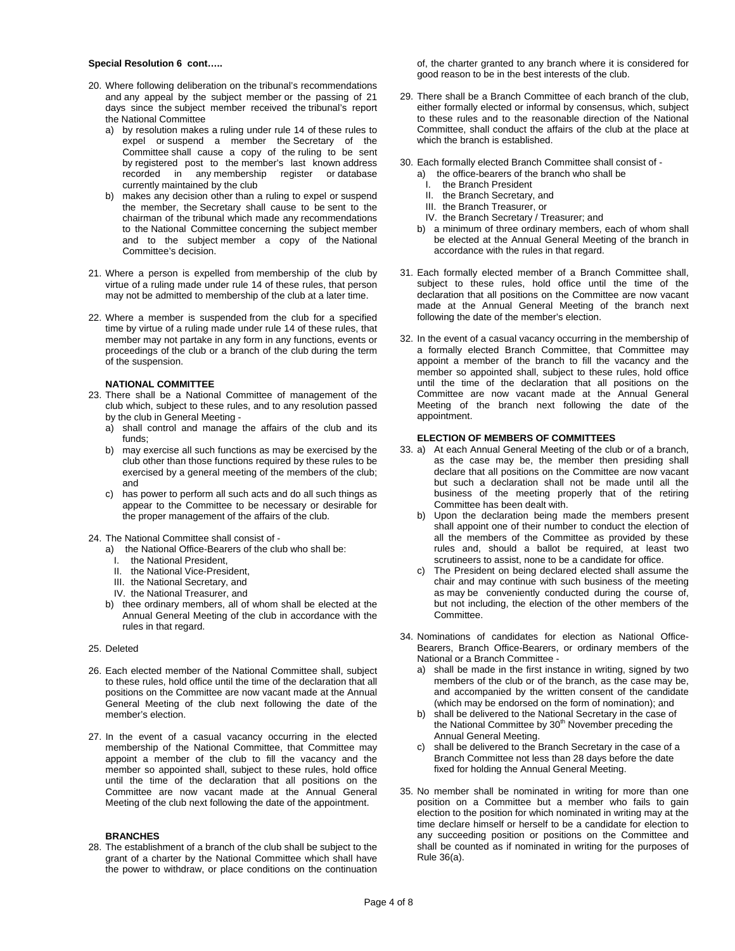#### **Special Resolution 6 cont…..**

- 20. Where following deliberation on the tribunal's recommendations and any appeal by the subject member or the passing of 21 days since the subject member received the tribunal's report the National Committee
	- a) by resolution makes a ruling under rule 14 of these rules to expel or suspend a member the Secretary of the Committee shall cause a copy of the ruling to be sent by registered post to the member's last known address recorded in any membership register or database currently maintained by the club
	- b) makes any decision other than a ruling to expel or suspend the member, the Secretary shall cause to be sent to the chairman of the tribunal which made any recommendations to the National Committee concerning the subject member and to the subject member a copy of the National Committee's decision.
- 21. Where a person is expelled from membership of the club by virtue of a ruling made under rule 14 of these rules, that person may not be admitted to membership of the club at a later time.
- 22. Where a member is suspended from the club for a specified time by virtue of a ruling made under rule 14 of these rules, that member may not partake in any form in any functions, events or proceedings of the club or a branch of the club during the term of the suspension.

#### **NATIONAL COMMITTEE**

- 23. There shall be a National Committee of management of the club which, subject to these rules, and to any resolution passed by the club in General Meeting
	- a) shall control and manage the affairs of the club and its funds;
	- b) may exercise all such functions as may be exercised by the club other than those functions required by these rules to be exercised by a general meeting of the members of the club; and
	- c) has power to perform all such acts and do all such things as appear to the Committee to be necessary or desirable for the proper management of the affairs of the club.

24. The National Committee shall consist of -

- a) the National Office-Bearers of the club who shall be:
- I. the National President,
- II. the National Vice-President,
- III. the National Secretary, and
- IV. the National Treasurer, and
- b) thee ordinary members, all of whom shall be elected at the Annual General Meeting of the club in accordance with the rules in that regard.
- 25. Deleted
- 26. Each elected member of the National Committee shall, subject to these rules, hold office until the time of the declaration that all positions on the Committee are now vacant made at the Annual General Meeting of the club next following the date of the member's election.
- 27. In the event of a casual vacancy occurring in the elected membership of the National Committee, that Committee may appoint a member of the club to fill the vacancy and the member so appointed shall, subject to these rules, hold office until the time of the declaration that all positions on the Committee are now vacant made at the Annual General Meeting of the club next following the date of the appointment.

#### **BRANCHES**

28. The establishment of a branch of the club shall be subject to the grant of a charter by the National Committee which shall have the power to withdraw, or place conditions on the continuation

of, the charter granted to any branch where it is considered for good reason to be in the best interests of the club.

- 29. There shall be a Branch Committee of each branch of the club, either formally elected or informal by consensus, which, subject to these rules and to the reasonable direction of the National Committee, shall conduct the affairs of the club at the place at which the branch is established.
- 30. Each formally elected Branch Committee shall consist of
	- a) the office-bearers of the branch who shall be
		- I. the Branch President
		- II. the Branch Secretary, and
		- III. the Branch Treasurer, or
	- IV. the Branch Secretary / Treasurer; and
	- b) a minimum of three ordinary members, each of whom shall be elected at the Annual General Meeting of the branch in accordance with the rules in that regard.
- 31. Each formally elected member of a Branch Committee shall, subject to these rules, hold office until the time of the declaration that all positions on the Committee are now vacant made at the Annual General Meeting of the branch next following the date of the member's election.
- 32. In the event of a casual vacancy occurring in the membership of a formally elected Branch Committee, that Committee may appoint a member of the branch to fill the vacancy and the member so appointed shall, subject to these rules, hold office until the time of the declaration that all positions on the Committee are now vacant made at the Annual General Meeting of the branch next following the date of the appointment.

#### **ELECTION OF MEMBERS OF COMMITTEES**

- 33. a) At each Annual General Meeting of the club or of a branch, as the case may be, the member then presiding shall declare that all positions on the Committee are now vacant but such a declaration shall not be made until all the business of the meeting properly that of the retiring Committee has been dealt with.
	- b) Upon the declaration being made the members present shall appoint one of their number to conduct the election of all the members of the Committee as provided by these rules and, should a ballot be required, at least two scrutineers to assist, none to be a candidate for office.
	- c) The President on being declared elected shall assume the chair and may continue with such business of the meeting as may be conveniently conducted during the course of, but not including, the election of the other members of the Committee.
- 34. Nominations of candidates for election as National Office-Bearers, Branch Office-Bearers, or ordinary members of the National or a Branch Committee
	- a) shall be made in the first instance in writing, signed by two members of the club or of the branch, as the case may be, and accompanied by the written consent of the candidate (which may be endorsed on the form of nomination); and
	- b) shall be delivered to the National Secretary in the case of the National Committee by 30<sup>th</sup> November preceding the Annual General Meeting.
	- c) shall be delivered to the Branch Secretary in the case of a Branch Committee not less than 28 days before the date fixed for holding the Annual General Meeting.
- 35. No member shall be nominated in writing for more than one position on a Committee but a member who fails to gain election to the position for which nominated in writing may at the time declare himself or herself to be a candidate for election to any succeeding position or positions on the Committee and shall be counted as if nominated in writing for the purposes of Rule 36(a).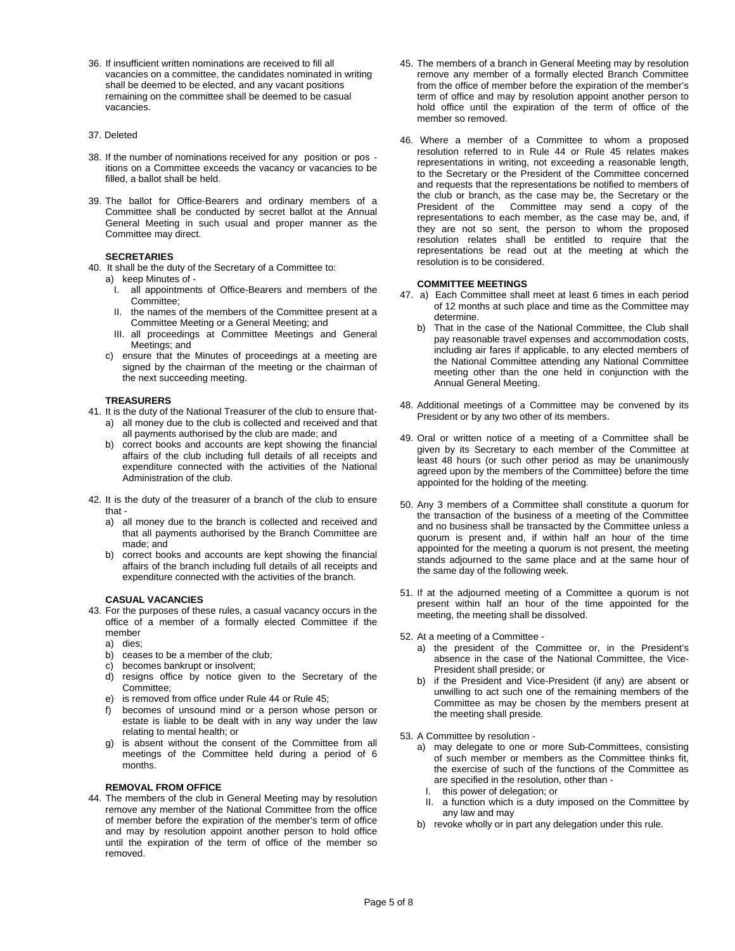36. If insufficient written nominations are received to fill all vacancies on a committee, the candidates nominated in writing shall be deemed to be elected, and any vacant positions remaining on the committee shall be deemed to be casual vacancies.

#### 37. Deleted

- 38. If the number of nominations received for any position or pos itions on a Committee exceeds the vacancy or vacancies to be filled, a ballot shall be held.
- 39. The ballot for Office-Bearers and ordinary members of a Committee shall be conducted by secret ballot at the Annual General Meeting in such usual and proper manner as the Committee may direct.

#### **SECRETARIES**

- 40. It shall be the duty of the Secretary of a Committee to:
	- a) keep Minutes of
		- I. all appointments of Office-Bearers and members of the Committee;
		- II. the names of the members of the Committee present at a Committee Meeting or a General Meeting; and
		- III. all proceedings at Committee Meetings and General Meetings; and
	- c) ensure that the Minutes of proceedings at a meeting are signed by the chairman of the meeting or the chairman of the next succeeding meeting.

#### **TREASURERS**

- 41. It is the duty of the National Treasurer of the club to ensure that
	- a) all money due to the club is collected and received and that all payments authorised by the club are made; and
	- b) correct books and accounts are kept showing the financial affairs of the club including full details of all receipts and expenditure connected with the activities of the National Administration of the club.
- 42. It is the duty of the treasurer of a branch of the club to ensure that
	- a) all money due to the branch is collected and received and that all payments authorised by the Branch Committee are made; and
	- b) correct books and accounts are kept showing the financial affairs of the branch including full details of all receipts and expenditure connected with the activities of the branch.

#### **CASUAL VACANCIES**

- 43. For the purposes of these rules, a casual vacancy occurs in the office of a member of a formally elected Committee if the member
	- a) dies;
	- b) ceases to be a member of the club;
	- c) becomes bankrupt or insolvent;
	- d) resigns office by notice given to the Secretary of the Committee;
	- e) is removed from office under Rule 44 or Rule 45;
	- becomes of unsound mind or a person whose person or estate is liable to be dealt with in any way under the law relating to mental health; or
	- g) is absent without the consent of the Committee from all meetings of the Committee held during a period of 6 months.

#### **REMOVAL FROM OFFICE**

44. The members of the club in General Meeting may by resolution remove any member of the National Committee from the office of member before the expiration of the member's term of office and may by resolution appoint another person to hold office until the expiration of the term of office of the member so removed.

- 45. The members of a branch in General Meeting may by resolution remove any member of a formally elected Branch Committee from the office of member before the expiration of the member's term of office and may by resolution appoint another person to hold office until the expiration of the term of office of the member so removed.
- 46. Where a member of a Committee to whom a proposed resolution referred to in Rule 44 or Rule 45 relates makes representations in writing, not exceeding a reasonable length, to the Secretary or the President of the Committee concerned and requests that the representations be notified to members of the club or branch, as the case may be, the Secretary or the President of the Committee may send a copy of the representations to each member, as the case may be, and, if they are not so sent, the person to whom the proposed resolution relates shall be entitled to require that the representations be read out at the meeting at which the resolution is to be considered.

#### **COMMITTEE MEETINGS**

- 47. a) Each Committee shall meet at least 6 times in each period of 12 months at such place and time as the Committee may determine.
	- b) That in the case of the National Committee, the Club shall pay reasonable travel expenses and accommodation costs, including air fares if applicable, to any elected members of the National Committee attending any National Committee meeting other than the one held in conjunction with the Annual General Meeting.
- 48. Additional meetings of a Committee may be convened by its President or by any two other of its members.
- 49. Oral or written notice of a meeting of a Committee shall be given by its Secretary to each member of the Committee at least 48 hours (or such other period as may be unanimously agreed upon by the members of the Committee) before the time appointed for the holding of the meeting.
- 50. Any 3 members of a Committee shall constitute a quorum for the transaction of the business of a meeting of the Committee and no business shall be transacted by the Committee unless a quorum is present and, if within half an hour of the time appointed for the meeting a quorum is not present, the meeting stands adjourned to the same place and at the same hour of the same day of the following week.
- 51. If at the adjourned meeting of a Committee a quorum is not present within half an hour of the time appointed for the meeting, the meeting shall be dissolved.
- 52. At a meeting of a Committee
	- a) the president of the Committee or, in the President's absence in the case of the National Committee, the Vice-President shall preside; or
	- b) if the President and Vice-President (if any) are absent or unwilling to act such one of the remaining members of the Committee as may be chosen by the members present at the meeting shall preside.
- 53. A Committee by resolution
	- a) may delegate to one or more Sub-Committees, consisting of such member or members as the Committee thinks fit, the exercise of such of the functions of the Committee as are specified in the resolution, other than -
		- I. this power of delegation; or
	- II. a function which is a duty imposed on the Committee by any law and may
	- b) revoke wholly or in part any delegation under this rule.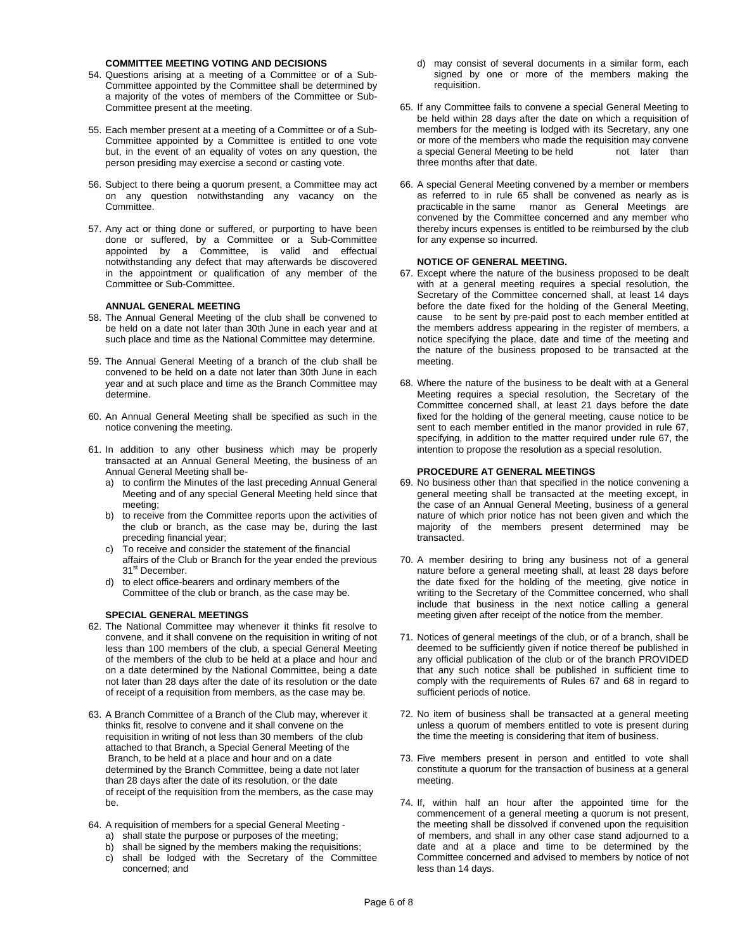#### **COMMITTEE MEETING VOTING AND DECISIONS**

- 54. Questions arising at a meeting of a Committee or of a Sub-Committee appointed by the Committee shall be determined by a majority of the votes of members of the Committee or Sub-Committee present at the meeting.
- 55. Each member present at a meeting of a Committee or of a Sub-Committee appointed by a Committee is entitled to one vote but, in the event of an equality of votes on any question, the person presiding may exercise a second or casting vote.
- 56. Subject to there being a quorum present, a Committee may act on any question notwithstanding any vacancy on the Committee.
- 57. Any act or thing done or suffered, or purporting to have been done or suffered, by a Committee or a Sub-Committee appointed by a Committee, is valid and effectual notwithstanding any defect that may afterwards be discovered in the appointment or qualification of any member of the Committee or Sub-Committee.

#### **ANNUAL GENERAL MEETING**

- 58. The Annual General Meeting of the club shall be convened to be held on a date not later than 30th June in each year and at such place and time as the National Committee may determine.
- 59. The Annual General Meeting of a branch of the club shall be convened to be held on a date not later than 30th June in each year and at such place and time as the Branch Committee may determine.
- 60. An Annual General Meeting shall be specified as such in the notice convening the meeting.
- 61. In addition to any other business which may be properly transacted at an Annual General Meeting, the business of an Annual General Meeting shall be
	- a) to confirm the Minutes of the last preceding Annual General Meeting and of any special General Meeting held since that meeting;
	- b) to receive from the Committee reports upon the activities of the club or branch, as the case may be, during the last preceding financial year;
	- c) To receive and consider the statement of the financial affairs of the Club or Branch for the year ended the previous 31<sup>st</sup> December.
	- d) to elect office-bearers and ordinary members of the Committee of the club or branch, as the case may be.

#### **SPECIAL GENERAL MEETINGS**

- 62. The National Committee may whenever it thinks fit resolve to convene, and it shall convene on the requisition in writing of not less than 100 members of the club, a special General Meeting of the members of the club to be held at a place and hour and on a date determined by the National Committee, being a date not later than 28 days after the date of its resolution or the date of receipt of a requisition from members, as the case may be.
- 63.A Branch Committee of a Branch of the Club may, wherever it thinks fit, resolve to convene and it shall convene on the requisition in writing of not less than 30 members of the club attached to that Branch, a Special General Meeting of the Branch, to be held at a place and hour and on a date determined by the Branch Committee, being a date not later than 28 days after the date of its resolution, or the date of receipt of the requisition from the members, as the case may be.
- 64. A requisition of members for a special General Meeting
	- a) shall state the purpose or purposes of the meeting;
	- b) shall be signed by the members making the requisitions;
	- c) shall be lodged with the Secretary of the Committee concerned; and
- d) may consist of several documents in a similar form, each signed by one or more of the members making the requisition.
- 65. If any Committee fails to convene a special General Meeting to be held within 28 days after the date on which a requisition of members for the meeting is lodged with its Secretary, any one or more of the members who made the requisition may convene a special General Meeting to be held not later than three months after that date.
- 66. A special General Meeting convened by a member or members as referred to in rule 65 shall be convened as nearly as is practicable in the same manor as General Meetings are convened by the Committee concerned and any member who thereby incurs expenses is entitled to be reimbursed by the club for any expense so incurred.

#### **NOTICE OF GENERAL MEETING.**

- 67. Except where the nature of the business proposed to be dealt with at a general meeting requires a special resolution, the Secretary of the Committee concerned shall, at least 14 days before the date fixed for the holding of the General Meeting, cause to be sent by pre-paid post to each member entitled at the members address appearing in the register of members, a notice specifying the place, date and time of the meeting and the nature of the business proposed to be transacted at the meeting.
- 68. Where the nature of the business to be dealt with at a General Meeting requires a special resolution, the Secretary of the Committee concerned shall, at least 21 days before the date fixed for the holding of the general meeting, cause notice to be sent to each member entitled in the manor provided in rule 67, specifying, in addition to the matter required under rule 67, the intention to propose the resolution as a special resolution.

#### **PROCEDURE AT GENERAL MEETINGS**

- 69. No business other than that specified in the notice convening a general meeting shall be transacted at the meeting except, in the case of an Annual General Meeting, business of a general nature of which prior notice has not been given and which the majority of the members present determined may be transacted.
- 70. A member desiring to bring any business not of a general nature before a general meeting shall, at least 28 days before the date fixed for the holding of the meeting, give notice in writing to the Secretary of the Committee concerned, who shall include that business in the next notice calling a general meeting given after receipt of the notice from the member.
- 71. Notices of general meetings of the club, or of a branch, shall be deemed to be sufficiently given if notice thereof be published in any official publication of the club or of the branch PROVIDED that any such notice shall be published in sufficient time to comply with the requirements of Rules 67 and 68 in regard to sufficient periods of notice.
- 72. No item of business shall be transacted at a general meeting unless a quorum of members entitled to vote is present during the time the meeting is considering that item of business.
- 73. Five members present in person and entitled to vote shall constitute a quorum for the transaction of business at a general meeting.
- 74. If, within half an hour after the appointed time for the commencement of a general meeting a quorum is not present, the meeting shall be dissolved if convened upon the requisition of members, and shall in any other case stand adjourned to a date and at a place and time to be determined by the Committee concerned and advised to members by notice of not less than 14 days.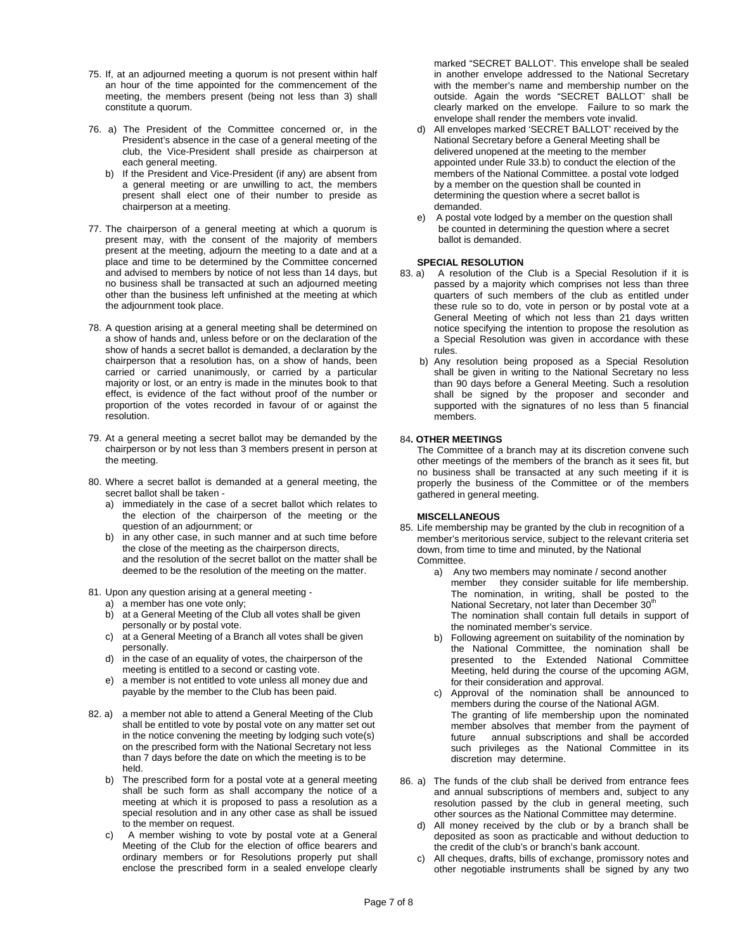- 75. If, at an adjourned meeting a quorum is not present within half an hour of the time appointed for the commencement of the meeting, the members present (being not less than 3) shall constitute a quorum.
- 76. a) The President of the Committee concerned or, in the President's absence in the case of a general meeting of the club, the Vice-President shall preside as chairperson at each general meeting.
	- b) If the President and Vice-President (if any) are absent from a general meeting or are unwilling to act, the members present shall elect one of their number to preside as chairperson at a meeting.
- 77. The chairperson of a general meeting at which a quorum is present may, with the consent of the majority of members present at the meeting, adjourn the meeting to a date and at a place and time to be determined by the Committee concerned and advised to members by notice of not less than 14 days, but no business shall be transacted at such an adjourned meeting other than the business left unfinished at the meeting at which the adjournment took place.
- 78. A question arising at a general meeting shall be determined on a show of hands and, unless before or on the declaration of the show of hands a secret ballot is demanded, a declaration by the chairperson that a resolution has, on a show of hands, been carried or carried unanimously, or carried by a particular majority or lost, or an entry is made in the minutes book to that effect, is evidence of the fact without proof of the number or proportion of the votes recorded in favour of or against the resolution.
- 79. At a general meeting a secret ballot may be demanded by the chairperson or by not less than 3 members present in person at the meeting.
- 80. Where a secret ballot is demanded at a general meeting, the secret ballot shall be taken
	- a) immediately in the case of a secret ballot which relates to the election of the chairperson of the meeting or the question of an adjournment; or
	- b) in any other case, in such manner and at such time before the close of the meeting as the chairperson directs, and the resolution of the secret ballot on the matter shall be deemed to be the resolution of the meeting on the matter.
- 81. Upon any question arising at a general meeting
	- a) a member has one vote only;
	- b) at a General Meeting of the Club all votes shall be given personally or by postal vote.
	- c) at a General Meeting of a Branch all votes shall be given personally.
	- d) in the case of an equality of votes, the chairperson of the meeting is entitled to a second or casting vote.
	- e) a member is not entitled to vote unless all money due and payable by the member to the Club has been paid.
- 82. a) a member not able to attend a General Meeting of the Club shall be entitled to vote by postal vote on any matter set out in the notice convening the meeting by lodging such vote(s) on the prescribed form with the National Secretary not less than 7 days before the date on which the meeting is to be held.
	- b) The prescribed form for a postal vote at a general meeting shall be such form as shall accompany the notice of a meeting at which it is proposed to pass a resolution as a special resolution and in any other case as shall be issued to the member on request.
	- c) A member wishing to vote by postal vote at a General Meeting of the Club for the election of office bearers and ordinary members or for Resolutions properly put shall enclose the prescribed form in a sealed envelope clearly

marked "SECRET BALLOT'. This envelope shall be sealed in another envelope addressed to the National Secretary with the member's name and membership number on the outside. Again the words "SECRET BALLOT' shall be clearly marked on the envelope. Failure to so mark the envelope shall render the members vote invalid.

- d) All envelopes marked 'SECRET BALLOT' received by the National Secretary before a General Meeting shall be delivered unopened at the meeting to the member appointed under Rule 33.b) to conduct the election of the members of the National Committee. a postal vote lodged by a member on the question shall be counted in determining the question where a secret ballot is demanded.
- e) A postal vote lodged by a member on the question shall be counted in determining the question where a secret ballot is demanded.

#### **SPECIAL RESOLUTION**

- 83. a) A resolution of the Club is a Special Resolution if it is passed by a majority which comprises not less than three quarters of such members of the club as entitled under these rule so to do, vote in person or by postal vote at a General Meeting of which not less than 21 days written notice specifying the intention to propose the resolution as a Special Resolution was given in accordance with these rules.
	- b) Any resolution being proposed as a Special Resolution shall be given in writing to the National Secretary no less than 90 days before a General Meeting. Such a resolution shall be signed by the proposer and seconder and supported with the signatures of no less than 5 financial members.

#### 84**. OTHER MEETINGS**

 The Committee of a branch may at its discretion convene such other meetings of the members of the branch as it sees fit, but no business shall be transacted at any such meeting if it is properly the business of the Committee or of the members gathered in general meeting.

#### **MISCELLANEOUS**

- 85. Life membership may be granted by the club in recognition of a member's meritorious service, subject to the relevant criteria set down, from time to time and minuted, by the National Committee.
	- a) Any two members may nominate / second another member they consider suitable for life membership. The nomination, in writing, shall be posted to the National Secretary, not later than December 30<sup>th</sup> The nomination shall contain full details in support of the nominated member's service.
	- b) Following agreement on suitability of the nomination by the National Committee, the nomination shall be presented to the Extended National Committee Meeting, held during the course of the upcoming AGM, for their consideration and approval.
	- c) Approval of the nomination shall be announced to members during the course of the National AGM. The granting of life membership upon the nominated member absolves that member from the payment of future annual subscriptions and shall be accorded such privileges as the National Committee in its discretion may determine.
- 86. a) The funds of the club shall be derived from entrance fees and annual subscriptions of members and, subject to any resolution passed by the club in general meeting, such other sources as the National Committee may determine.
	- d) All money received by the club or by a branch shall be deposited as soon as practicable and without deduction to the credit of the club's or branch's bank account.
	- c) All cheques, drafts, bills of exchange, promissory notes and other negotiable instruments shall be signed by any two